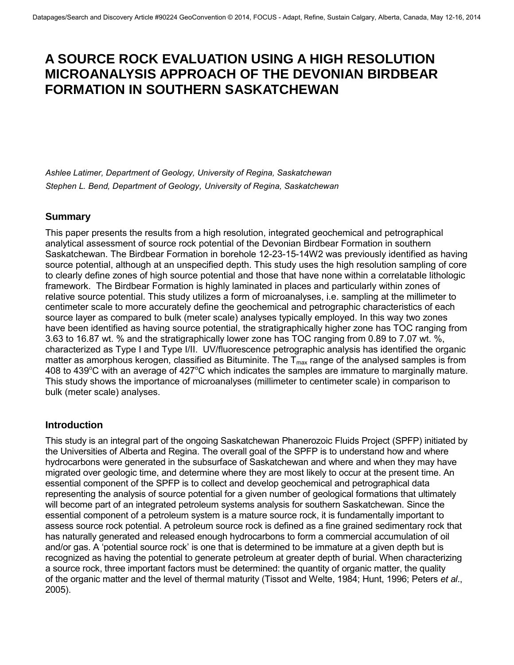# **A SOURCE ROCK EVALUATION USING A HIGH RESOLUTION MICROANALYSIS APPROACH OF THE DEVONIAN BIRDBEAR FORMATION IN SOUTHERN SASKATCHEWAN**

*Ashlee Latimer, Department of Geology, University of Regina, Saskatchewan Stephen L. Bend, Department of Geology, University of Regina, Saskatchewan* 

## **Summary**

This paper presents the results from a high resolution, integrated geochemical and petrographical analytical assessment of source rock potential of the Devonian Birdbear Formation in southern Saskatchewan. The Birdbear Formation in borehole 12-23-15-14W2 was previously identified as having source potential, although at an unspecified depth. This study uses the high resolution sampling of core to clearly define zones of high source potential and those that have none within a correlatable lithologic framework. The Birdbear Formation is highly laminated in places and particularly within zones of relative source potential. This study utilizes a form of microanalyses, i.e. sampling at the millimeter to centimeter scale to more accurately define the geochemical and petrographic characteristics of each source layer as compared to bulk (meter scale) analyses typically employed. In this way two zones have been identified as having source potential, the stratigraphically higher zone has TOC ranging from 3.63 to 16.87 wt. % and the stratigraphically lower zone has TOC ranging from 0.89 to 7.07 wt. %, characterized as Type I and Type I/II. UV/fluorescence petrographic analysis has identified the organic matter as amorphous kerogen, classified as Bituminite. The  $T_{max}$  range of the analysed samples is from 408 to 439 $\degree$ C with an average of 427 $\degree$ C which indicates the samples are immature to marginally mature. This study shows the importance of microanalyses (millimeter to centimeter scale) in comparison to bulk (meter scale) analyses.

## **Introduction**

This study is an integral part of the ongoing Saskatchewan Phanerozoic Fluids Project (SPFP) initiated by the Universities of Alberta and Regina. The overall goal of the SPFP is to understand how and where hydrocarbons were generated in the subsurface of Saskatchewan and where and when they may have migrated over geologic time, and determine where they are most likely to occur at the present time. An essential component of the SPFP is to collect and develop geochemical and petrographical data representing the analysis of source potential for a given number of geological formations that ultimately will become part of an integrated petroleum systems analysis for southern Saskatchewan. Since the essential component of a petroleum system is a mature source rock, it is fundamentally important to assess source rock potential. A petroleum source rock is defined as a fine grained sedimentary rock that has naturally generated and released enough hydrocarbons to form a commercial accumulation of oil and/or gas. A 'potential source rock' is one that is determined to be immature at a given depth but is recognized as having the potential to generate petroleum at greater depth of burial. When characterizing a source rock, three important factors must be determined: the quantity of organic matter, the quality of the organic matter and the level of thermal maturity (Tissot and Welte, 1984; Hunt, 1996; Peters *et al*., 2005).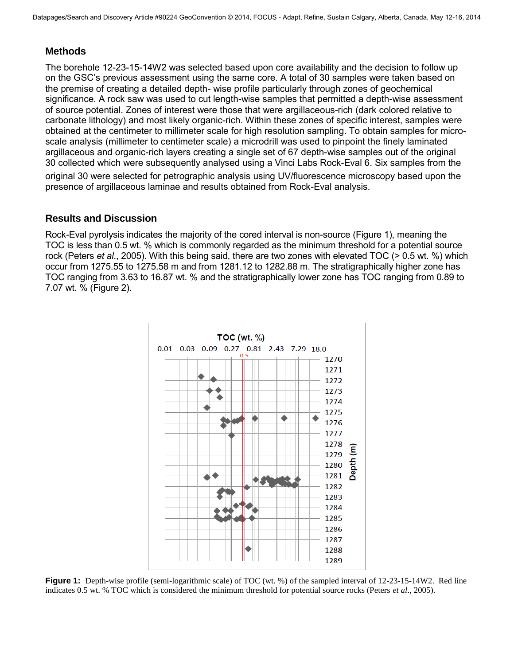### **Methods**

The borehole 12-23-15-14W2 was selected based upon core availability and the decision to follow up on the GSC's previous assessment using the same core. A total of 30 samples were taken based on the premise of creating a detailed depth- wise profile particularly through zones of geochemical significance. A rock saw was used to cut length-wise samples that permitted a depth-wise assessment of source potential. Zones of interest were those that were argillaceous-rich (dark colored relative to carbonate lithology) and most likely organic-rich. Within these zones of specific interest, samples were obtained at the centimeter to millimeter scale for high resolution sampling. To obtain samples for microscale analysis (millimeter to centimeter scale) a microdrill was used to pinpoint the finely laminated argillaceous and organic-rich layers creating a single set of 67 depth-wise samples out of the original 30 collected which were subsequently analysed using a Vinci Labs Rock-Eval 6. Six samples from the

original 30 were selected for petrographic analysis using UV/fluorescence microscopy based upon the presence of argillaceous laminae and results obtained from Rock-Eval analysis.

#### **Results and Discussion**

Rock-Eval pyrolysis indicates the majority of the cored interval is non-source (Figure 1), meaning the TOC is less than 0.5 wt. % which is commonly regarded as the minimum threshold for a potential source rock (Peters *et al*., 2005). With this being said, there are two zones with elevated TOC (> 0.5 wt. %) which occur from 1275.55 to 1275.58 m and from 1281.12 to 1282.88 m. The stratigraphically higher zone has TOC ranging from 3.63 to 16.87 wt. % and the stratigraphically lower zone has TOC ranging from 0.89 to 7.07 wt. % (Figure 2).



**Figure 1:** Depth-wise profile (semi-logarithmic scale) of TOC (wt. %) of the sampled interval of 12-23-15-14W2. Red line indicates 0.5 wt. % TOC which is considered the minimum threshold for potential source rocks (Peters *et al*., 2005).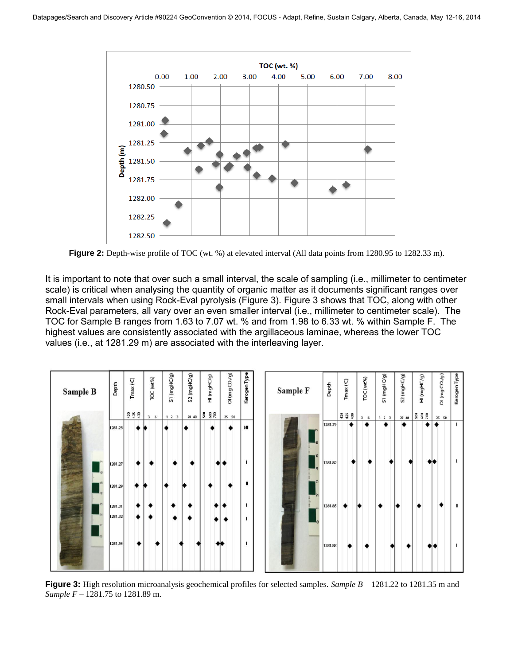

**Figure 2:** Depth-wise profile of TOC (wt. %) at elevated interval (All data points from 1280.95 to 1282.33 m).

It is important to note that over such a small interval, the scale of sampling (i.e., millimeter to centimeter scale) is critical when analysing the quantity of organic matter as it documents significant ranges over small intervals when using Rock-Eval pyrolysis (Figure 3). Figure 3 shows that TOC, along with other Rock-Eval parameters, all vary over an even smaller interval (i.e., millimeter to centimeter scale). The TOC for Sample B ranges from 1.63 to 7.07 wt. % and from 1.98 to 6.33 wt. % within Sample F. The highest values are consistently associated with the argillaceous laminae, whereas the lower TOC values (i.e., at 1281.29 m) are associated with the interleaving layer.



**Figure 3:** High resolution microanalysis geochemical profiles for selected samples. *Sample B* – 1281.22 to 1281.35 m and *Sample F* – 1281.75 to 1281.89 m.